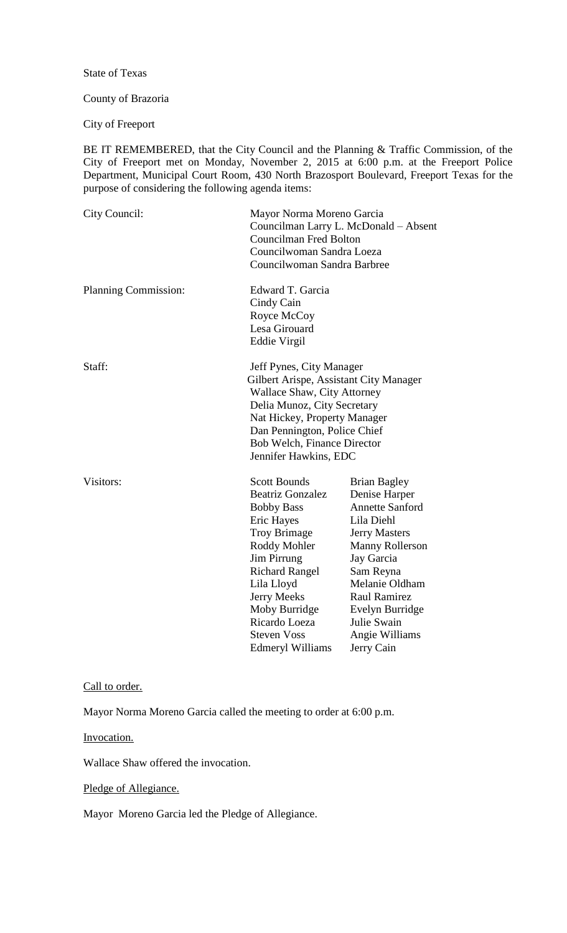### State of Texas

#### County of Brazoria

City of Freeport

BE IT REMEMBERED, that the City Council and the Planning & Traffic Commission, of the City of Freeport met on Monday, November 2, 2015 at 6:00 p.m. at the Freeport Police Department, Municipal Court Room, 430 North Brazosport Boulevard, Freeport Texas for the purpose of considering the following agenda items:

| City Council:        | Mayor Norma Moreno Garcia<br>Councilman Larry L. McDonald - Absent<br><b>Councilman Fred Bolton</b><br>Councilwoman Sandra Loeza<br>Councilwoman Sandra Barbree                                                                                                                                |                                                                                                                                                                                                                                                               |
|----------------------|------------------------------------------------------------------------------------------------------------------------------------------------------------------------------------------------------------------------------------------------------------------------------------------------|---------------------------------------------------------------------------------------------------------------------------------------------------------------------------------------------------------------------------------------------------------------|
| Planning Commission: | Edward T. Garcia<br>Cindy Cain<br>Royce McCoy<br>Lesa Girouard<br>Eddie Virgil                                                                                                                                                                                                                 |                                                                                                                                                                                                                                                               |
| Staff:               | Jeff Pynes, City Manager<br>Gilbert Arispe, Assistant City Manager<br><b>Wallace Shaw, City Attorney</b><br>Delia Munoz, City Secretary<br>Nat Hickey, Property Manager<br>Dan Pennington, Police Chief<br>Bob Welch, Finance Director<br>Jennifer Hawkins, EDC                                |                                                                                                                                                                                                                                                               |
| Visitors:            | <b>Scott Bounds</b><br><b>Beatriz Gonzalez</b><br><b>Bobby Bass</b><br>Eric Hayes<br><b>Troy Brimage</b><br>Roddy Mohler<br><b>Jim Pirrung</b><br><b>Richard Rangel</b><br>Lila Lloyd<br><b>Jerry Meeks</b><br>Moby Burridge<br>Ricardo Loeza<br><b>Steven Voss</b><br><b>Edmeryl Williams</b> | <b>Brian Bagley</b><br>Denise Harper<br><b>Annette Sanford</b><br>Lila Diehl<br><b>Jerry Masters</b><br>Manny Rollerson<br>Jay Garcia<br>Sam Reyna<br>Melanie Oldham<br><b>Raul Ramirez</b><br>Evelyn Burridge<br>Julie Swain<br>Angie Williams<br>Jerry Cain |

# Call to order.

Mayor Norma Moreno Garcia called the meeting to order at 6:00 p.m.

Invocation.

Wallace Shaw offered the invocation.

Pledge of Allegiance.

Mayor Moreno Garcia led the Pledge of Allegiance.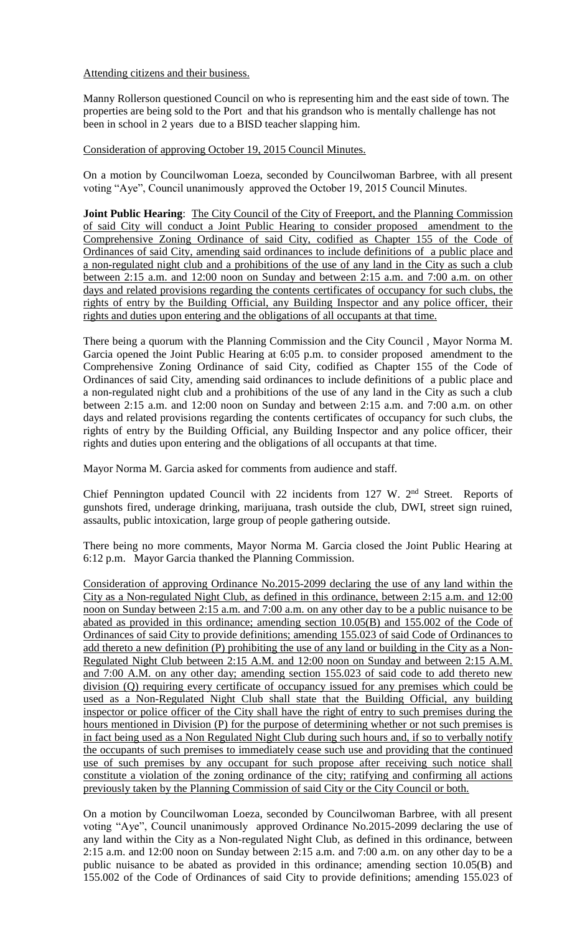Attending citizens and their business.

Manny Rollerson questioned Council on who is representing him and the east side of town. The properties are being sold to the Port and that his grandson who is mentally challenge has not been in school in 2 years due to a BISD teacher slapping him.

Consideration of approving October 19, 2015 Council Minutes.

On a motion by Councilwoman Loeza, seconded by Councilwoman Barbree, with all present voting "Aye", Council unanimously approved the October 19, 2015 Council Minutes.

**Joint Public Hearing:** The City Council of the City of Freeport, and the Planning Commission of said City will conduct a Joint Public Hearing to consider proposed amendment to the Comprehensive Zoning Ordinance of said City, codified as Chapter 155 of the Code of Ordinances of said City, amending said ordinances to include definitions of a public place and a non-regulated night club and a prohibitions of the use of any land in the City as such a club between 2:15 a.m. and 12:00 noon on Sunday and between 2:15 a.m. and 7:00 a.m. on other days and related provisions regarding the contents certificates of occupancy for such clubs, the rights of entry by the Building Official, any Building Inspector and any police officer, their rights and duties upon entering and the obligations of all occupants at that time.

There being a quorum with the Planning Commission and the City Council , Mayor Norma M. Garcia opened the Joint Public Hearing at 6:05 p.m. to consider proposed amendment to the Comprehensive Zoning Ordinance of said City, codified as Chapter 155 of the Code of Ordinances of said City, amending said ordinances to include definitions of a public place and a non-regulated night club and a prohibitions of the use of any land in the City as such a club between 2:15 a.m. and 12:00 noon on Sunday and between 2:15 a.m. and 7:00 a.m. on other days and related provisions regarding the contents certificates of occupancy for such clubs, the rights of entry by the Building Official, any Building Inspector and any police officer, their rights and duties upon entering and the obligations of all occupants at that time.

Mayor Norma M. Garcia asked for comments from audience and staff.

Chief Pennington updated Council with 22 incidents from 127 W. 2<sup>nd</sup> Street. Reports of gunshots fired, underage drinking, marijuana, trash outside the club, DWI, street sign ruined, assaults, public intoxication, large group of people gathering outside.

There being no more comments, Mayor Norma M. Garcia closed the Joint Public Hearing at 6:12 p.m. Mayor Garcia thanked the Planning Commission.

Consideration of approving Ordinance No.2015-2099 declaring the use of any land within the City as a Non-regulated Night Club, as defined in this ordinance, between 2:15 a.m. and 12:00 noon on Sunday between 2:15 a.m. and 7:00 a.m. on any other day to be a public nuisance to be abated as provided in this ordinance; amending section 10.05(B) and 155.002 of the Code of Ordinances of said City to provide definitions; amending 155.023 of said Code of Ordinances to add thereto a new definition (P) prohibiting the use of any land or building in the City as a Non-Regulated Night Club between 2:15 A.M. and 12:00 noon on Sunday and between 2:15 A.M. and 7:00 A.M. on any other day; amending section 155.023 of said code to add thereto new division (Q) requiring every certificate of occupancy issued for any premises which could be used as a Non-Regulated Night Club shall state that the Building Official, any building inspector or police officer of the City shall have the right of entry to such premises during the hours mentioned in Division (P) for the purpose of determining whether or not such premises is in fact being used as a Non Regulated Night Club during such hours and, if so to verbally notify the occupants of such premises to immediately cease such use and providing that the continued use of such premises by any occupant for such propose after receiving such notice shall constitute a violation of the zoning ordinance of the city; ratifying and confirming all actions previously taken by the Planning Commission of said City or the City Council or both.

On a motion by Councilwoman Loeza, seconded by Councilwoman Barbree, with all present voting "Aye", Council unanimously approved Ordinance No.2015-2099 declaring the use of any land within the City as a Non-regulated Night Club, as defined in this ordinance, between 2:15 a.m. and 12:00 noon on Sunday between 2:15 a.m. and 7:00 a.m. on any other day to be a public nuisance to be abated as provided in this ordinance; amending section 10.05(B) and 155.002 of the Code of Ordinances of said City to provide definitions; amending 155.023 of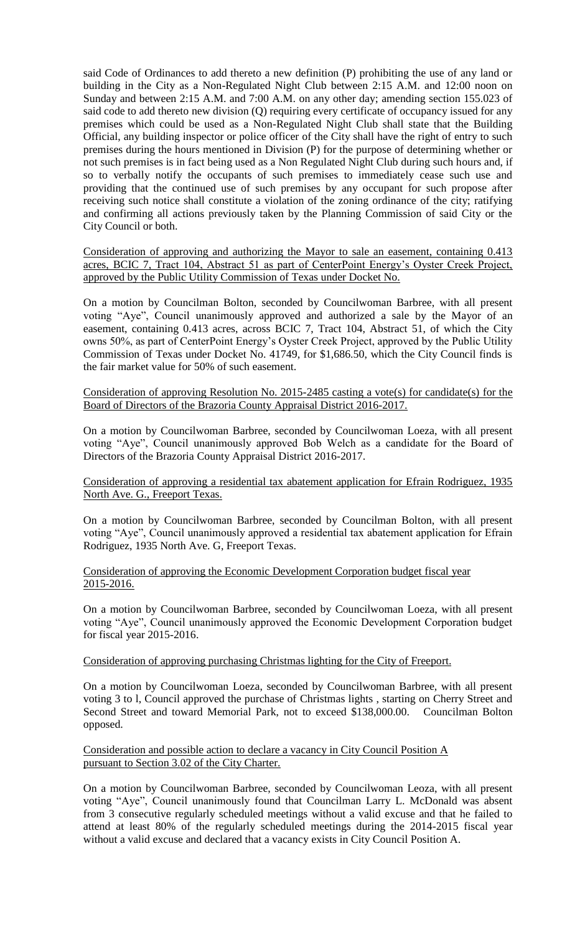said Code of Ordinances to add thereto a new definition (P) prohibiting the use of any land or building in the City as a Non-Regulated Night Club between 2:15 A.M. and 12:00 noon on Sunday and between 2:15 A.M. and 7:00 A.M. on any other day; amending section 155.023 of said code to add thereto new division (Q) requiring every certificate of occupancy issued for any premises which could be used as a Non-Regulated Night Club shall state that the Building Official, any building inspector or police officer of the City shall have the right of entry to such premises during the hours mentioned in Division (P) for the purpose of determining whether or not such premises is in fact being used as a Non Regulated Night Club during such hours and, if so to verbally notify the occupants of such premises to immediately cease such use and providing that the continued use of such premises by any occupant for such propose after receiving such notice shall constitute a violation of the zoning ordinance of the city; ratifying and confirming all actions previously taken by the Planning Commission of said City or the City Council or both.

Consideration of approving and authorizing the Mayor to sale an easement, containing 0.413 acres, BCIC 7, Tract 104, Abstract 51 as part of CenterPoint Energy's Oyster Creek Project, approved by the Public Utility Commission of Texas under Docket No.

On a motion by Councilman Bolton, seconded by Councilwoman Barbree, with all present voting "Aye", Council unanimously approved and authorized a sale by the Mayor of an easement, containing 0.413 acres, across BCIC 7, Tract 104, Abstract 51, of which the City owns 50%, as part of CenterPoint Energy's Oyster Creek Project, approved by the Public Utility Commission of Texas under Docket No. 41749, for \$1,686.50, which the City Council finds is the fair market value for 50% of such easement.

Consideration of approving Resolution No. 2015-2485 casting a vote(s) for candidate(s) for the Board of Directors of the Brazoria County Appraisal District 2016-2017.

On a motion by Councilwoman Barbree, seconded by Councilwoman Loeza, with all present voting "Aye", Council unanimously approved Bob Welch as a candidate for the Board of Directors of the Brazoria County Appraisal District 2016-2017.

Consideration of approving a residential tax abatement application for Efrain Rodriguez, 1935 North Ave. G., Freeport Texas.

On a motion by Councilwoman Barbree, seconded by Councilman Bolton, with all present voting "Aye", Council unanimously approved a residential tax abatement application for Efrain Rodriguez, 1935 North Ave. G, Freeport Texas.

Consideration of approving the Economic Development Corporation budget fiscal year 2015-2016.

On a motion by Councilwoman Barbree, seconded by Councilwoman Loeza, with all present voting "Aye", Council unanimously approved the Economic Development Corporation budget for fiscal year 2015-2016.

#### Consideration of approving purchasing Christmas lighting for the City of Freeport.

On a motion by Councilwoman Loeza, seconded by Councilwoman Barbree, with all present voting 3 to l, Council approved the purchase of Christmas lights , starting on Cherry Street and Second Street and toward Memorial Park, not to exceed \$138,000.00. Councilman Bolton opposed.

Consideration and possible action to declare a vacancy in City Council Position A pursuant to Section 3.02 of the City Charter.

On a motion by Councilwoman Barbree, seconded by Councilwoman Leoza, with all present voting "Aye", Council unanimously found that Councilman Larry L. McDonald was absent from 3 consecutive regularly scheduled meetings without a valid excuse and that he failed to attend at least 80% of the regularly scheduled meetings during the 2014-2015 fiscal year without a valid excuse and declared that a vacancy exists in City Council Position A.